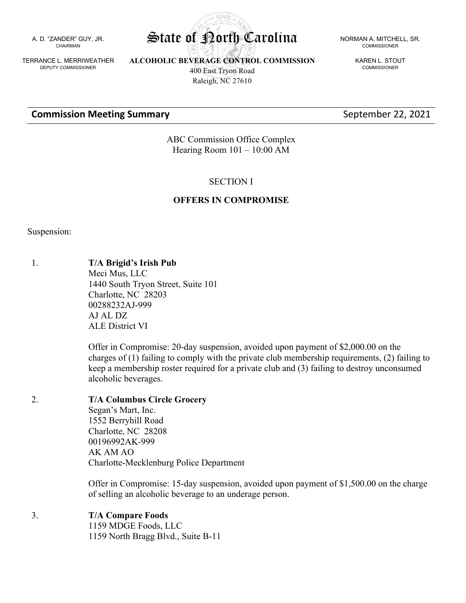A. D. "ZANDER" GUY, JR. CHAIRMAN

TERRANCE L. MERRIWEATHER DEPUTY COMMISSIONER

**ALCOHOLIC BEVERAGE CONTROL COMMISSION** 400 East Tryon Road

Raleigh, NC 27610

COMMISSIONER

KAREN L. STOUT COMMISSIONER

#### **Commission Meeting Summary Commission Meeting Summary September 22, 2021**

ABC Commission Office Complex Hearing Room 101 – 10:00 AM

#### SECTION I

#### **OFFERS IN COMPROMISE**

Suspension:

1. **T/A Brigid's Irish Pub** Meci Mus, LLC 1440 South Tryon Street, Suite 101 Charlotte, NC 28203 00288232AJ-999 AJ AL DZ ALE District VI

> Offer in Compromise: 20-day suspension, avoided upon payment of \$2,000.00 on the charges of (1) failing to comply with the private club membership requirements, (2) failing to keep a membership roster required for a private club and (3) failing to destroy unconsumed alcoholic beverages.

2. **T/A Columbus Circle Grocery** Segan's Mart, Inc. 1552 Berryhill Road Charlotte, NC 28208 00196992AK-999 AK AM AO Charlotte-Mecklenburg Police Department

> Offer in Compromise: 15-day suspension, avoided upon payment of \$1,500.00 on the charge of selling an alcoholic beverage to an underage person.

3. **T/A Compare Foods**

1159 MDGE Foods, LLC 1159 North Bragg Blvd., Suite B-11

**STATA** State of Porth Carolina NORMAN A. MITCHELL, SR.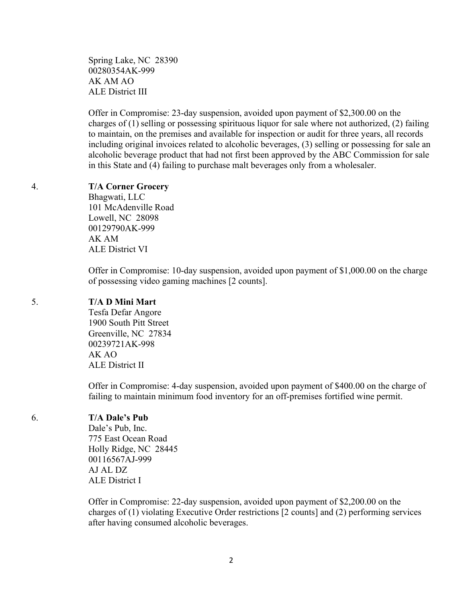Spring Lake, NC 28390 00280354AK-999 AK AM AO ALE District III

Offer in Compromise: 23-day suspension, avoided upon payment of \$2,300.00 on the charges of (1) selling or possessing spirituous liquor for sale where not authorized, (2) failing to maintain, on the premises and available for inspection or audit for three years, all records including original invoices related to alcoholic beverages, (3) selling or possessing for sale an alcoholic beverage product that had not first been approved by the ABC Commission for sale in this State and (4) failing to purchase malt beverages only from a wholesaler.

#### 4. **T/A Corner Grocery**

Bhagwati, LLC 101 McAdenville Road Lowell, NC 28098 00129790AK-999 AK AM ALE District VI

Offer in Compromise: 10-day suspension, avoided upon payment of \$1,000.00 on the charge of possessing video gaming machines [2 counts].

# 5. **T/A D Mini Mart**

Tesfa Defar Angore 1900 South Pitt Street Greenville, NC 27834 00239721AK-998 AK AO ALE District II

Offer in Compromise: 4-day suspension, avoided upon payment of \$400.00 on the charge of failing to maintain minimum food inventory for an off-premises fortified wine permit.

#### 6. **T/A Dale's Pub**

Dale's Pub, Inc. 775 East Ocean Road Holly Ridge, NC 28445 00116567AJ-999 AJ AL DZ ALE District I

Offer in Compromise: 22-day suspension, avoided upon payment of \$2,200.00 on the charges of (1) violating Executive Order restrictions [2 counts] and (2) performing services after having consumed alcoholic beverages.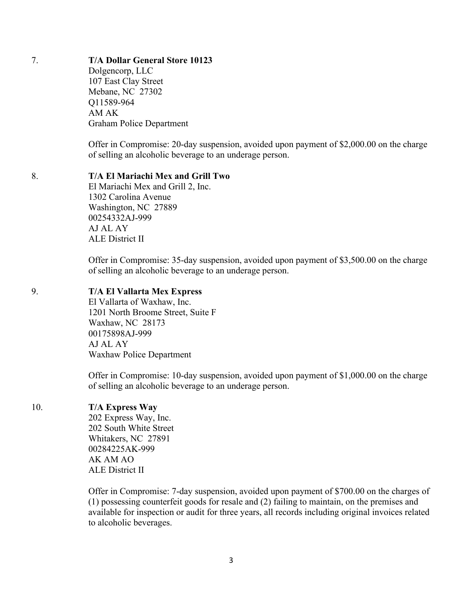# 7. **T/A Dollar General Store 10123**

Dolgencorp, LLC 107 East Clay Street Mebane, NC 27302 Q11589-964 AM AK Graham Police Department

Offer in Compromise: 20-day suspension, avoided upon payment of \$2,000.00 on the charge of selling an alcoholic beverage to an underage person.

#### 8. **T/A El Mariachi Mex and Grill Two**

El Mariachi Mex and Grill 2, Inc. 1302 Carolina Avenue Washington, NC 27889 00254332AJ-999 AJ AL AY ALE District II

Offer in Compromise: 35-day suspension, avoided upon payment of \$3,500.00 on the charge of selling an alcoholic beverage to an underage person.

#### 9. **T/A El Vallarta Mex Express**

El Vallarta of Waxhaw, Inc. 1201 North Broome Street, Suite F Waxhaw, NC 28173 00175898AJ-999 AJ AL AY Waxhaw Police Department

Offer in Compromise: 10-day suspension, avoided upon payment of \$1,000.00 on the charge of selling an alcoholic beverage to an underage person.

#### 10. **T/A Express Way**

202 Express Way, Inc. 202 South White Street Whitakers, NC 27891 00284225AK-999 AK AM AO ALE District II

Offer in Compromise: 7-day suspension, avoided upon payment of \$700.00 on the charges of (1) possessing counterfeit goods for resale and (2) failing to maintain, on the premises and available for inspection or audit for three years, all records including original invoices related to alcoholic beverages.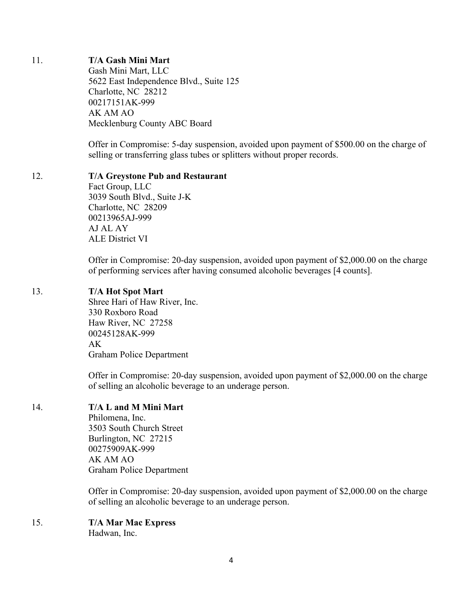# 11. **T/A Gash Mini Mart**

Gash Mini Mart, LLC 5622 East Independence Blvd., Suite 125 Charlotte, NC 28212 00217151AK-999 AK AM AO Mecklenburg County ABC Board

Offer in Compromise: 5-day suspension, avoided upon payment of \$500.00 on the charge of selling or transferring glass tubes or splitters without proper records.

## 12. **T/A Greystone Pub and Restaurant**

Fact Group, LLC 3039 South Blvd., Suite J-K Charlotte, NC 28209 00213965AJ-999 AJ AL AY ALE District VI

Offer in Compromise: 20-day suspension, avoided upon payment of \$2,000.00 on the charge of performing services after having consumed alcoholic beverages [4 counts].

## 13. **T/A Hot Spot Mart**

Shree Hari of Haw River, Inc. 330 Roxboro Road Haw River, NC 27258 00245128AK-999 AK Graham Police Department

Offer in Compromise: 20-day suspension, avoided upon payment of \$2,000.00 on the charge of selling an alcoholic beverage to an underage person.

# 14. **T/A L and M Mini Mart**

Philomena, Inc. 3503 South Church Street Burlington, NC 27215 00275909AK-999 AK AM AO Graham Police Department

Offer in Compromise: 20-day suspension, avoided upon payment of \$2,000.00 on the charge of selling an alcoholic beverage to an underage person.

# 15. **T/A Mar Mac Express**

Hadwan, Inc.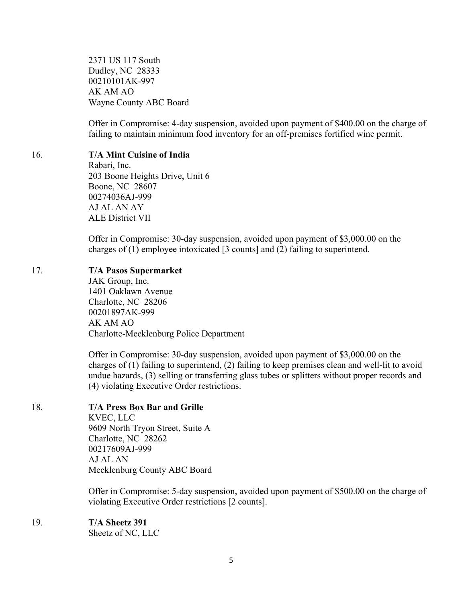2371 US 117 South Dudley, NC 28333 00210101AK-997 AK AM AO Wayne County ABC Board

Offer in Compromise: 4-day suspension, avoided upon payment of \$400.00 on the charge of failing to maintain minimum food inventory for an off-premises fortified wine permit.

# 16. **T/A Mint Cuisine of India**

Rabari, Inc. 203 Boone Heights Drive, Unit 6 Boone, NC 28607 00274036AJ-999 AJ AL AN AY ALE District VII

Offer in Compromise: 30-day suspension, avoided upon payment of \$3,000.00 on the charges of (1) employee intoxicated [3 counts] and (2) failing to superintend.

#### 17. **T/A Pasos Supermarket**

JAK Group, Inc. 1401 Oaklawn Avenue Charlotte, NC 28206 00201897AK-999 AK AM AO Charlotte-Mecklenburg Police Department

Offer in Compromise: 30-day suspension, avoided upon payment of \$3,000.00 on the charges of (1) failing to superintend, (2) failing to keep premises clean and well-lit to avoid undue hazards, (3) selling or transferring glass tubes or splitters without proper records and (4) violating Executive Order restrictions.

#### 18. **T/A Press Box Bar and Grille**

KVEC, LLC 9609 North Tryon Street, Suite A Charlotte, NC 28262 00217609AJ-999 AJ AL AN Mecklenburg County ABC Board

Offer in Compromise: 5-day suspension, avoided upon payment of \$500.00 on the charge of violating Executive Order restrictions [2 counts].

19. **T/A Sheetz 391**

Sheetz of NC, LLC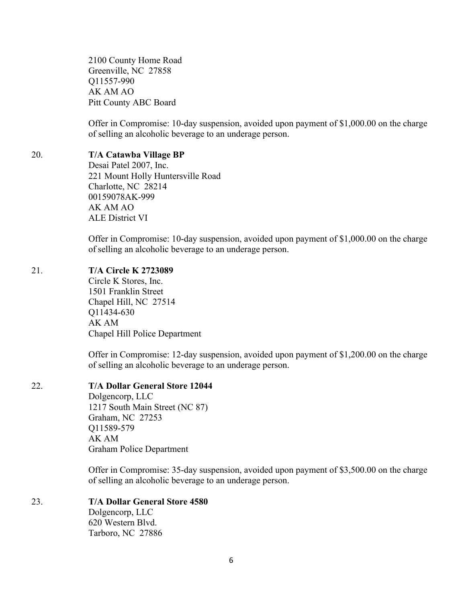2100 County Home Road Greenville, NC 27858 Q11557-990 AK AM AO Pitt County ABC Board

Offer in Compromise: 10-day suspension, avoided upon payment of \$1,000.00 on the charge of selling an alcoholic beverage to an underage person.

#### 20. **T/A Catawba Village BP**

Desai Patel 2007, Inc. 221 Mount Holly Huntersville Road Charlotte, NC 28214 00159078AK-999 AK AM AO ALE District VI

Offer in Compromise: 10-day suspension, avoided upon payment of \$1,000.00 on the charge of selling an alcoholic beverage to an underage person.

#### 21. **T/A Circle K 2723089**

Circle K Stores, Inc. 1501 Franklin Street Chapel Hill, NC 27514 Q11434-630 AK AM Chapel Hill Police Department

Offer in Compromise: 12-day suspension, avoided upon payment of \$1,200.00 on the charge of selling an alcoholic beverage to an underage person.

#### 22. **T/A Dollar General Store 12044**

Dolgencorp, LLC 1217 South Main Street (NC 87) Graham, NC 27253 Q11589-579 AK AM Graham Police Department

Offer in Compromise: 35-day suspension, avoided upon payment of \$3,500.00 on the charge of selling an alcoholic beverage to an underage person.

23. **T/A Dollar General Store 4580** Dolgencorp, LLC 620 Western Blvd. Tarboro, NC 27886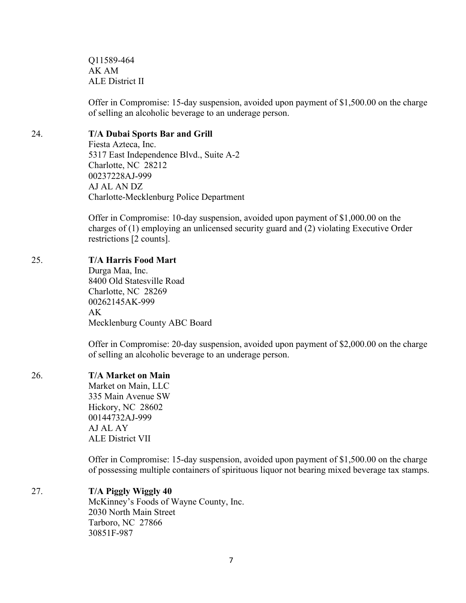Q11589-464 AK AM ALE District II

Offer in Compromise: 15-day suspension, avoided upon payment of \$1,500.00 on the charge of selling an alcoholic beverage to an underage person.

### 24. **T/A Dubai Sports Bar and Grill**

Fiesta Azteca, Inc. 5317 East Independence Blvd., Suite A-2 Charlotte, NC 28212 00237228AJ-999 AJ AL AN DZ Charlotte-Mecklenburg Police Department

Offer in Compromise: 10-day suspension, avoided upon payment of \$1,000.00 on the charges of (1) employing an unlicensed security guard and (2) violating Executive Order restrictions [2 counts].

# 25. **T/A Harris Food Mart**

Durga Maa, Inc. 8400 Old Statesville Road Charlotte, NC 28269 00262145AK-999  $AK$ Mecklenburg County ABC Board

Offer in Compromise: 20-day suspension, avoided upon payment of \$2,000.00 on the charge of selling an alcoholic beverage to an underage person.

# 26. **T/A Market on Main**

Market on Main, LLC 335 Main Avenue SW Hickory, NC 28602 00144732AJ-999 AJ AL AY ALE District VII

Offer in Compromise: 15-day suspension, avoided upon payment of \$1,500.00 on the charge of possessing multiple containers of spirituous liquor not bearing mixed beverage tax stamps.

# 27. **T/A Piggly Wiggly 40**

McKinney's Foods of Wayne County, Inc. 2030 North Main Street Tarboro, NC 27866 30851F-987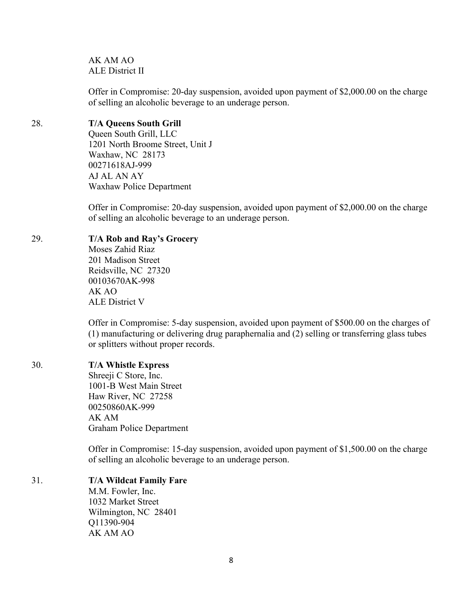AK AM AO ALE District II

Offer in Compromise: 20-day suspension, avoided upon payment of \$2,000.00 on the charge of selling an alcoholic beverage to an underage person.

# 28. **T/A Queens South Grill**

Queen South Grill, LLC 1201 North Broome Street, Unit J Waxhaw, NC 28173 00271618AJ-999 AJ AL AN AY Waxhaw Police Department

Offer in Compromise: 20-day suspension, avoided upon payment of \$2,000.00 on the charge of selling an alcoholic beverage to an underage person.

## 29. **T/A Rob and Ray's Grocery**

Moses Zahid Riaz 201 Madison Street Reidsville, NC 27320 00103670AK-998 AK AO ALE District V

Offer in Compromise: 5-day suspension, avoided upon payment of \$500.00 on the charges of (1) manufacturing or delivering drug paraphernalia and (2) selling or transferring glass tubes or splitters without proper records.

# 30. **T/A Whistle Express**

Shreeji C Store, Inc. 1001-B West Main Street Haw River, NC 27258 00250860AK-999 AK AM Graham Police Department

Offer in Compromise: 15-day suspension, avoided upon payment of \$1,500.00 on the charge of selling an alcoholic beverage to an underage person.

# 31. **T/A Wildcat Family Fare**

M.M. Fowler, Inc. 1032 Market Street Wilmington, NC 28401 Q11390-904 AK AM AO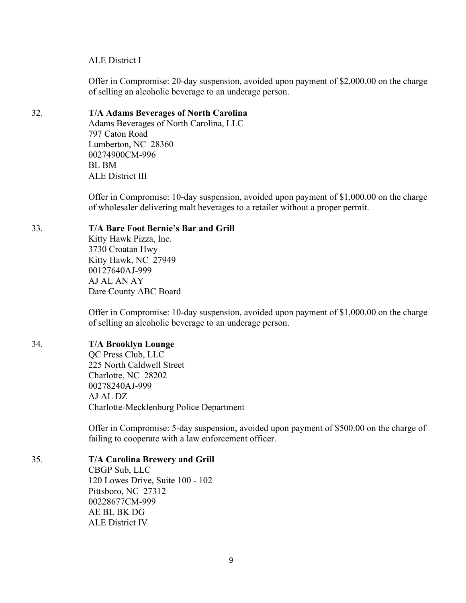#### ALE District I

Offer in Compromise: 20-day suspension, avoided upon payment of \$2,000.00 on the charge of selling an alcoholic beverage to an underage person.

# 32. **T/A Adams Beverages of North Carolina**

Adams Beverages of North Carolina, LLC 797 Caton Road Lumberton, NC 28360 00274900CM-996 BL BM ALE District III

Offer in Compromise: 10-day suspension, avoided upon payment of \$1,000.00 on the charge of wholesaler delivering malt beverages to a retailer without a proper permit.

#### 33. **T/A Bare Foot Bernie's Bar and Grill**

Kitty Hawk Pizza, Inc. 3730 Croatan Hwy Kitty Hawk, NC 27949 00127640AJ-999 AJ AL AN AY Dare County ABC Board

Offer in Compromise: 10-day suspension, avoided upon payment of \$1,000.00 on the charge of selling an alcoholic beverage to an underage person.

#### 34. **T/A Brooklyn Lounge**

QC Press Club, LLC 225 North Caldwell Street Charlotte, NC 28202 00278240AJ-999 AJ AL DZ Charlotte-Mecklenburg Police Department

Offer in Compromise: 5-day suspension, avoided upon payment of \$500.00 on the charge of failing to cooperate with a law enforcement officer.

# 35. **T/A Carolina Brewery and Grill**

CBGP Sub, LLC 120 Lowes Drive, Suite 100 - 102 Pittsboro, NC 27312 00228677CM-999 AE BL BK DG ALE District IV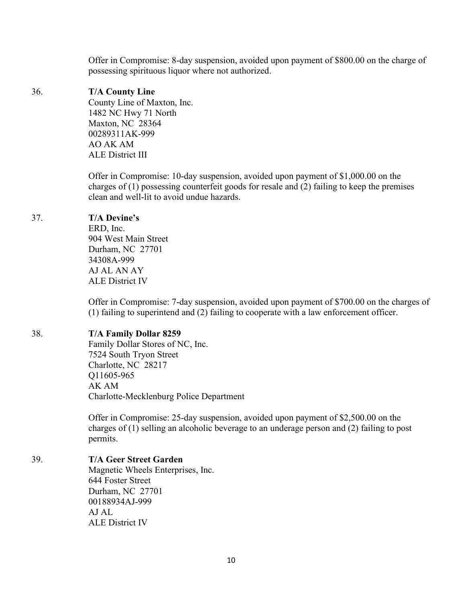Offer in Compromise: 8-day suspension, avoided upon payment of \$800.00 on the charge of possessing spirituous liquor where not authorized.

#### 36. **T/A County Line**

County Line of Maxton, Inc. 1482 NC Hwy 71 North Maxton, NC 28364 00289311AK-999 AO AK AM ALE District III

Offer in Compromise: 10-day suspension, avoided upon payment of \$1,000.00 on the charges of (1) possessing counterfeit goods for resale and (2) failing to keep the premises clean and well-lit to avoid undue hazards.

## 37. **T/A Devine's**

ERD, Inc. 904 West Main Street Durham, NC 27701 34308A-999 AJ AL AN AY ALE District IV

Offer in Compromise: 7-day suspension, avoided upon payment of \$700.00 on the charges of (1) failing to superintend and (2) failing to cooperate with a law enforcement officer.

# 38. **T/A Family Dollar 8259**

Family Dollar Stores of NC, Inc. 7524 South Tryon Street Charlotte, NC 28217 Q11605-965 AK AM Charlotte-Mecklenburg Police Department

Offer in Compromise: 25-day suspension, avoided upon payment of \$2,500.00 on the charges of (1) selling an alcoholic beverage to an underage person and (2) failing to post permits.

# 39. **T/A Geer Street Garden**

Magnetic Wheels Enterprises, Inc. 644 Foster Street Durham, NC 27701 00188934AJ-999 AJ AL ALE District IV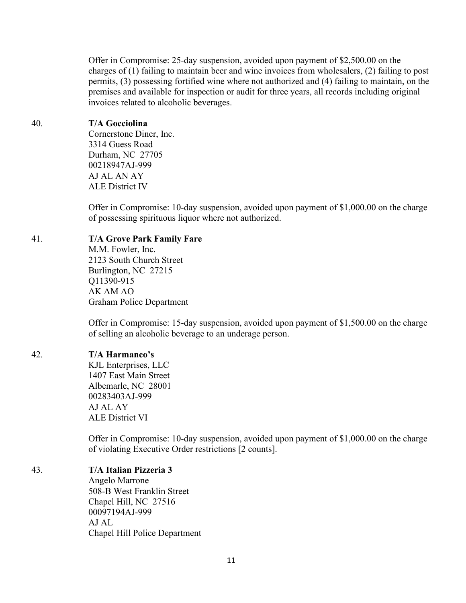Offer in Compromise: 25-day suspension, avoided upon payment of \$2,500.00 on the charges of (1) failing to maintain beer and wine invoices from wholesalers, (2) failing to post permits, (3) possessing fortified wine where not authorized and (4) failing to maintain, on the premises and available for inspection or audit for three years, all records including original invoices related to alcoholic beverages.

### 40. **T/A Gocciolina**

Cornerstone Diner, Inc. 3314 Guess Road Durham, NC 27705 00218947AJ-999 AJ AL AN AY ALE District IV

Offer in Compromise: 10-day suspension, avoided upon payment of \$1,000.00 on the charge of possessing spirituous liquor where not authorized.

## 41. **T/A Grove Park Family Fare**

M.M. Fowler, Inc. 2123 South Church Street Burlington, NC 27215 Q11390-915 AK AM AO Graham Police Department

Offer in Compromise: 15-day suspension, avoided upon payment of \$1,500.00 on the charge of selling an alcoholic beverage to an underage person.

# 42. **T/A Harmanco's**

KJL Enterprises, LLC 1407 East Main Street Albemarle, NC 28001 00283403AJ-999 AJ AL AY ALE District VI

Offer in Compromise: 10-day suspension, avoided upon payment of \$1,000.00 on the charge of violating Executive Order restrictions [2 counts].

# 43. **T/A Italian Pizzeria 3**

Angelo Marrone 508-B West Franklin Street Chapel Hill, NC 27516 00097194AJ-999 AJ AL Chapel Hill Police Department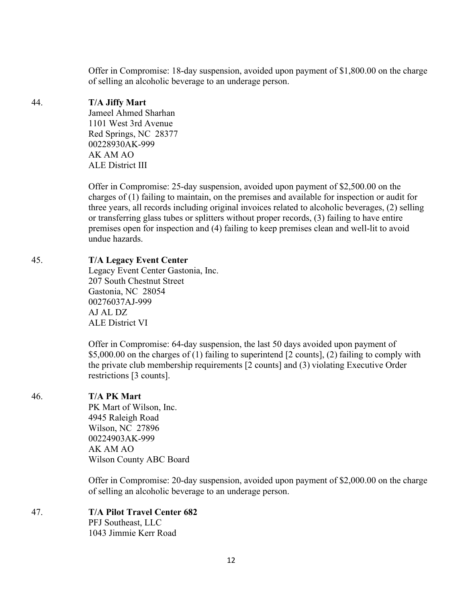Offer in Compromise: 18-day suspension, avoided upon payment of \$1,800.00 on the charge of selling an alcoholic beverage to an underage person.

# 44. **T/A Jiffy Mart**

Jameel Ahmed Sharhan 1101 West 3rd Avenue Red Springs, NC 28377 00228930AK-999 AK AM AO ALE District III

Offer in Compromise: 25-day suspension, avoided upon payment of \$2,500.00 on the charges of (1) failing to maintain, on the premises and available for inspection or audit for three years, all records including original invoices related to alcoholic beverages, (2) selling or transferring glass tubes or splitters without proper records, (3) failing to have entire premises open for inspection and (4) failing to keep premises clean and well-lit to avoid undue hazards.

# 45. **T/A Legacy Event Center**

Legacy Event Center Gastonia, Inc. 207 South Chestnut Street Gastonia, NC 28054 00276037AJ-999 AJ AL DZ ALE District VI

Offer in Compromise: 64-day suspension, the last 50 days avoided upon payment of \$5,000.00 on the charges of (1) failing to superintend [2 counts], (2) failing to comply with the private club membership requirements [2 counts] and (3) violating Executive Order restrictions [3 counts].

# 46. **T/A PK Mart**

PK Mart of Wilson, Inc. 4945 Raleigh Road Wilson, NC 27896 00224903AK-999 AK AM AO Wilson County ABC Board

Offer in Compromise: 20-day suspension, avoided upon payment of \$2,000.00 on the charge of selling an alcoholic beverage to an underage person.

#### 47. **T/A Pilot Travel Center 682** PFJ Southeast, LLC 1043 Jimmie Kerr Road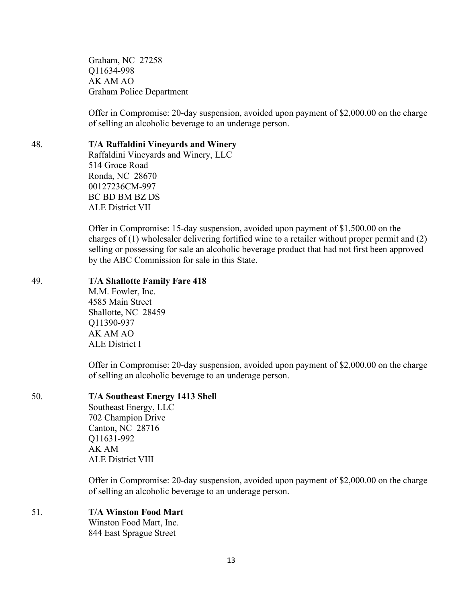Graham, NC 27258 Q11634-998 AK AM AO Graham Police Department

Offer in Compromise: 20-day suspension, avoided upon payment of \$2,000.00 on the charge of selling an alcoholic beverage to an underage person.

## 48. **T/A Raffaldini Vineyards and Winery**

Raffaldini Vineyards and Winery, LLC 514 Groce Road Ronda, NC 28670 00127236CM-997 BC BD BM BZ DS ALE District VII

Offer in Compromise: 15-day suspension, avoided upon payment of \$1,500.00 on the charges of (1) wholesaler delivering fortified wine to a retailer without proper permit and (2) selling or possessing for sale an alcoholic beverage product that had not first been approved by the ABC Commission for sale in this State.

#### 49. **T/A Shallotte Family Fare 418**

M.M. Fowler, Inc. 4585 Main Street Shallotte, NC 28459 Q11390-937 AK AM AO ALE District I

Offer in Compromise: 20-day suspension, avoided upon payment of \$2,000.00 on the charge of selling an alcoholic beverage to an underage person.

| 50. | <b>T/A Southeast Energy 1413 Shell</b> |
|-----|----------------------------------------|
|     | Southeast Energy, LLC                  |
|     | 702 Champion Drive                     |
|     | Canton, NC 28716                       |
|     | Q11631-992                             |
|     | AK AM                                  |
|     | <b>ALE District VIII</b>               |

Offer in Compromise: 20-day suspension, avoided upon payment of \$2,000.00 on the charge of selling an alcoholic beverage to an underage person.

## 51. **T/A Winston Food Mart**

Winston Food Mart, Inc. 844 East Sprague Street